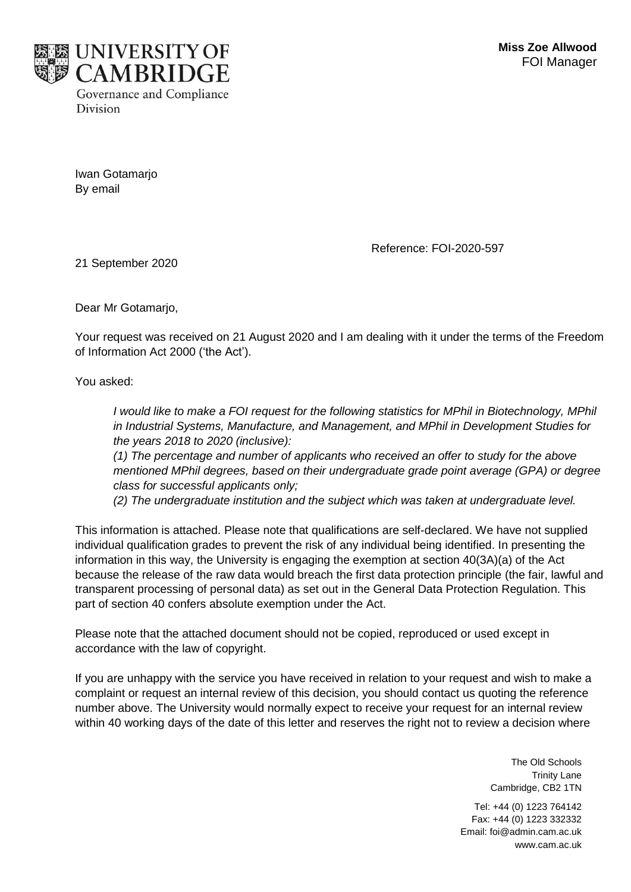

Iwan Gotamarjo By email

Reference: FOI-2020-597

21 September 2020

Dear Mr Gotamario.

Your request was received on 21 August 2020 and I am dealing with it under the terms of the Freedom of Information Act 2000 ('the Act').

You asked:

*I* would like to make a FOI request for the following statistics for MPhil in Biotechnology, MPhil *in Industrial Systems, Manufacture, and Management, and MPhil in Development Studies for the years 2018 to 2020 (inclusive):*

*(1) The percentage and number of applicants who received an offer to study for the above mentioned MPhil degrees, based on their undergraduate grade point average (GPA) or degree class for successful applicants only;*

*(2) The undergraduate institution and the subject which was taken at undergraduate level.*

This information is attached. Please note that qualifications are self-declared. We have not supplied individual qualification grades to prevent the risk of any individual being identified. In presenting the information in this way, the University is engaging the exemption at section 40(3A)(a) of the Act because the release of the raw data would breach the first data protection principle (the fair, lawful and transparent processing of personal data) as set out in the General Data Protection Regulation. This part of section 40 confers absolute exemption under the Act.

Please note that the attached document should not be copied, reproduced or used except in accordance with the law of copyright.

If you are unhappy with the service you have received in relation to your request and wish to make a complaint or request an internal review of this decision, you should contact us quoting the reference number above. The University would normally expect to receive your request for an internal review within 40 working days of the date of this letter and reserves the right not to review a decision where

> The Old Schools Trinity Lane Cambridge, CB2 1TN

Tel: +44 (0) 1223 764142 Fax: +44 (0) 1223 332332 Email: foi@admin.cam.ac.uk www.cam.ac.uk